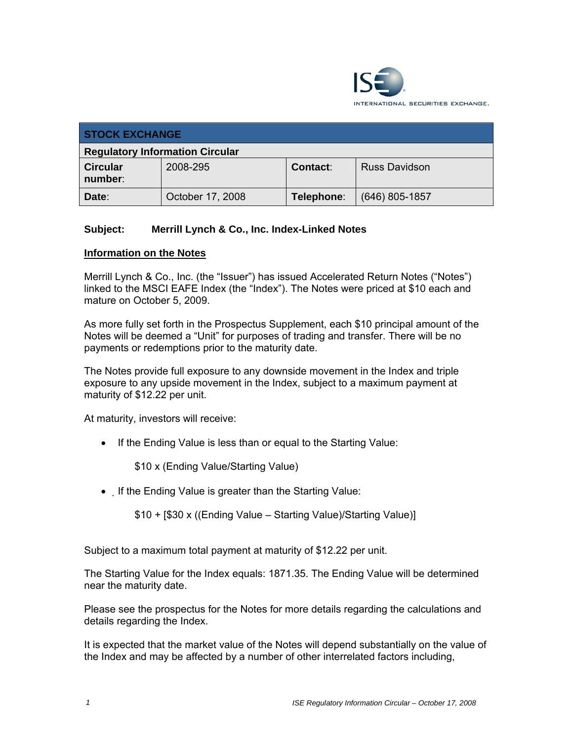

| <b>STOCK EXCHANGE</b>                  |                  |            |                      |  |  |
|----------------------------------------|------------------|------------|----------------------|--|--|
| <b>Regulatory Information Circular</b> |                  |            |                      |  |  |
| <b>Circular</b><br>number:             | 2008-295         | Contact:   | <b>Russ Davidson</b> |  |  |
| Date:                                  | October 17, 2008 | Telephone: | $(646)$ 805-1857     |  |  |

## **Subject: Merrill Lynch & Co., Inc. Index-Linked Notes**

## **Information on the Notes**

Merrill Lynch & Co., Inc. (the "Issuer") has issued Accelerated Return Notes ("Notes") linked to the MSCI EAFE Index (the "Index"). The Notes were priced at \$10 each and mature on October 5, 2009.

As more fully set forth in the Prospectus Supplement, each \$10 principal amount of the Notes will be deemed a "Unit" for purposes of trading and transfer. There will be no payments or redemptions prior to the maturity date.

The Notes provide full exposure to any downside movement in the Index and triple exposure to any upside movement in the Index, subject to a maximum payment at maturity of \$12.22 per unit.

At maturity, investors will receive:

• If the Ending Value is less than or equal to the Starting Value:

\$10 x (Ending Value/Starting Value)

• If the Ending Value is greater than the Starting Value:

\$10 + [\$30 x ((Ending Value – Starting Value)/Starting Value)]

Subject to a maximum total payment at maturity of \$12.22 per unit.

The Starting Value for the Index equals: 1871.35. The Ending Value will be determined near the maturity date.

Please see the prospectus for the Notes for more details regarding the calculations and details regarding the Index.

It is expected that the market value of the Notes will depend substantially on the value of the Index and may be affected by a number of other interrelated factors including,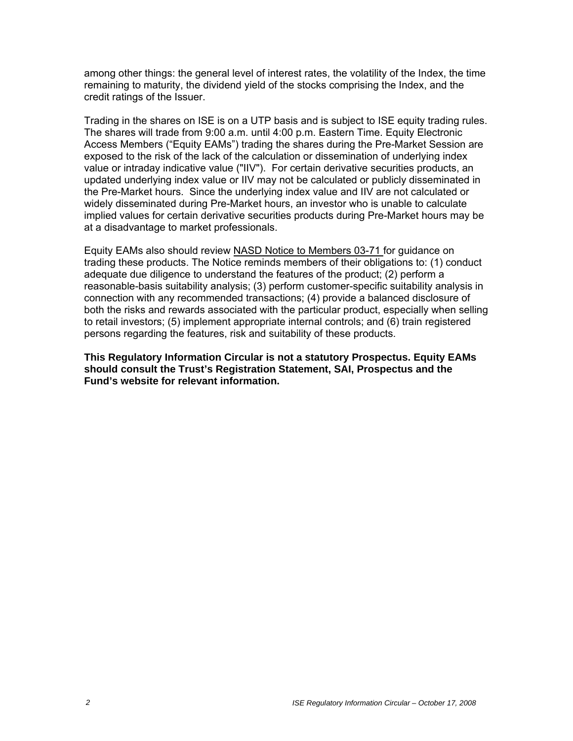among other things: the general level of interest rates, the volatility of the Index, the time remaining to maturity, the dividend yield of the stocks comprising the Index, and the credit ratings of the Issuer.

Trading in the shares on ISE is on a UTP basis and is subject to ISE equity trading rules. The shares will trade from 9:00 a.m. until 4:00 p.m. Eastern Time. Equity Electronic Access Members ("Equity EAMs") trading the shares during the Pre-Market Session are exposed to the risk of the lack of the calculation or dissemination of underlying index value or intraday indicative value ("IIV"). For certain derivative securities products, an updated underlying index value or IIV may not be calculated or publicly disseminated in the Pre-Market hours. Since the underlying index value and IIV are not calculated or widely disseminated during Pre-Market hours, an investor who is unable to calculate implied values for certain derivative securities products during Pre-Market hours may be at a disadvantage to market professionals.

Equity EAMs also should review NASD Notice to Members 03-71 for guidance on trading these products. The Notice reminds members of their obligations to: (1) conduct adequate due diligence to understand the features of the product; (2) perform a reasonable-basis suitability analysis; (3) perform customer-specific suitability analysis in connection with any recommended transactions; (4) provide a balanced disclosure of both the risks and rewards associated with the particular product, especially when selling to retail investors; (5) implement appropriate internal controls; and (6) train registered persons regarding the features, risk and suitability of these products.

**This Regulatory Information Circular is not a statutory Prospectus. Equity EAMs should consult the Trust's Registration Statement, SAI, Prospectus and the Fund's website for relevant information.**